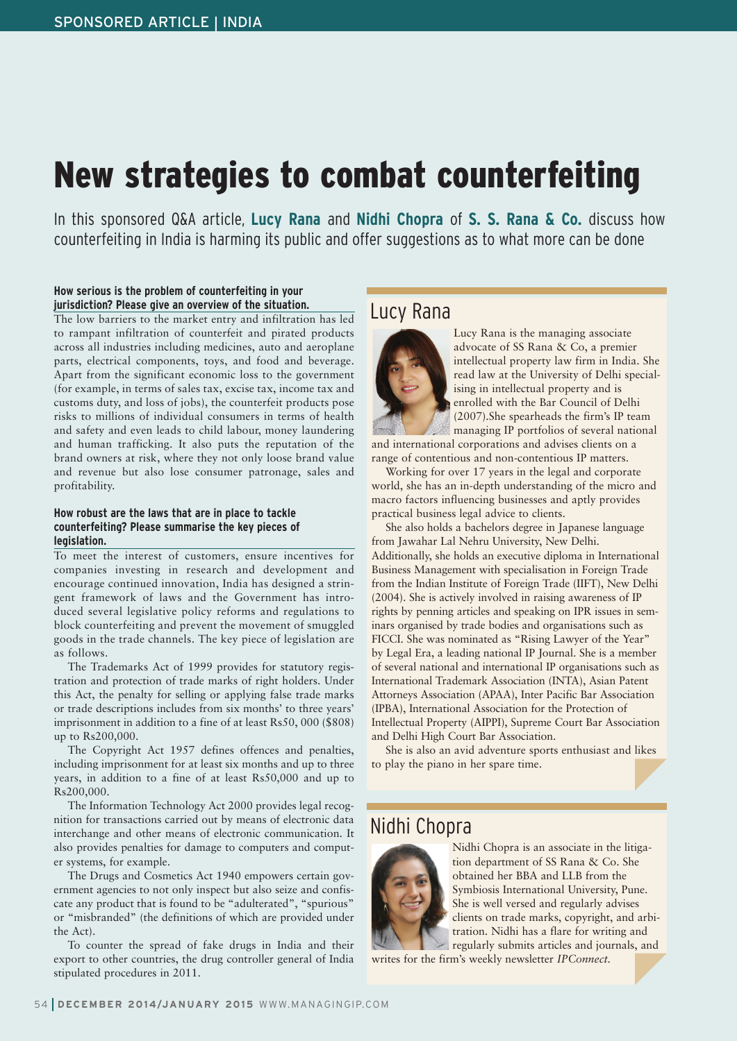# **New strategies to combat counterfeiting**

In this sponsored Q&A article, **Lucy Rana** and **Nidhi Chopra** of **S. S. Rana & Co.** discuss how counterfeiting in India is harming its public and offer suggestions as to what more can be done

#### **How serious is the problem of counterfeiting in your jurisdiction? Please give an overview of the situation.**

The low barriers to the market entry and infiltration has led to rampant infiltration of counterfeit and pirated products across all industries including medicines, auto and aeroplane parts, electrical components, toys, and food and beverage. Apart from the significant economic loss to the government (for example, in terms of sales tax, excise tax, income tax and customs duty, and loss of jobs), the counterfeit products pose risks to millions of individual consumers in terms of health and safety and even leads to child labour, money laundering and human trafficking. It also puts the reputation of the brand owners at risk, where they not only loose brand value and revenue but also lose consumer patronage, sales and profitability.

#### **How robust are the laws that are in place to tackle counterfeiting? Please summarise the key pieces of legislation.**

To meet the interest of customers, ensure incentives for companies investing in research and development and encourage continued innovation, India has designed a stringent framework of laws and the Government has introduced several legislative policy reforms and regulations to block counterfeiting and prevent the movement of smuggled goods in the trade channels. The key piece of legislation are as follows.

The Trademarks Act of 1999 provides for statutory registration and protection of trade marks of right holders. Under this Act, the penalty for selling or applying false trade marks or trade descriptions includes from six months' to three years' imprisonment in addition to a fine of at least Rs50, 000 (\$808) up to Rs200,000.

The Copyright Act 1957 defines offences and penalties, including imprisonment for at least six months and up to three years, in addition to a fine of at least Rs50,000 and up to Rs200,000.

The Information Technology Act 2000 provides legal recognition for transactions carried out by means of electronic data interchange and other means of electronic communication. It also provides penalties for damage to computers and computer systems, for example.

The Drugs and Cosmetics Act 1940 empowers certain government agencies to not only inspect but also seize and confiscate any product that is found to be "adulterated", "spurious" or "misbranded" (the definitions of which are provided under the Act).

To counter the spread of fake drugs in India and their export to other countries, the drug controller general of India stipulated procedures in 2011.

# Lucy Rana



Lucy Rana is the managing associate advocate of SS Rana & Co, a premier intellectual property law firm in India. She read law at the University of Delhi specialising in intellectual property and is enrolled with the Bar Council of Delhi (2007).She spearheads the firm's IP team managing IP portfolios of several national and international corporations and advises clients on a

range of contentious and non-contentious IP matters. Working for over 17 years in the legal and corporate world, she has an in-depth understanding of the micro and macro factors influencing businesses and aptly provides

practical business legal advice to clients. She also holds a bachelors degree in Japanese language from Jawahar Lal Nehru University, New Delhi. Additionally, she holds an executive diploma in International Business Management with specialisation in Foreign Trade from the Indian Institute of Foreign Trade (IIFT), New Delhi (2004). She is actively involved in raising awareness of IP rights by penning articles and speaking on IPR issues in seminars organised by trade bodies and organisations such as FICCI. She was nominated as "Rising Lawyer of the Year" by Legal Era, a leading national IP Journal. She is a member of several national and international IP organisations such as International Trademark Association (INTA), Asian Patent Attorneys Association (APAA), Inter Pacific Bar Association (IPBA), International Association for the Protection of Intellectual Property (AIPPI), Supreme Court Bar Association and Delhi High Court Bar Association.

She is also an avid adventure sports enthusiast and likes to play the piano in her spare time.

## Nidhi Chopra



Nidhi Chopra is an associate in the litigation department of SS Rana & Co. She obtained her BBA and LLB from the Symbiosis International University, Pune. She is well versed and regularly advises clients on trade marks, copyright, and arbitration. Nidhi has a flare for writing and regularly submits articles and journals, and

writes for the firm's weekly newsletter *IPConnect.*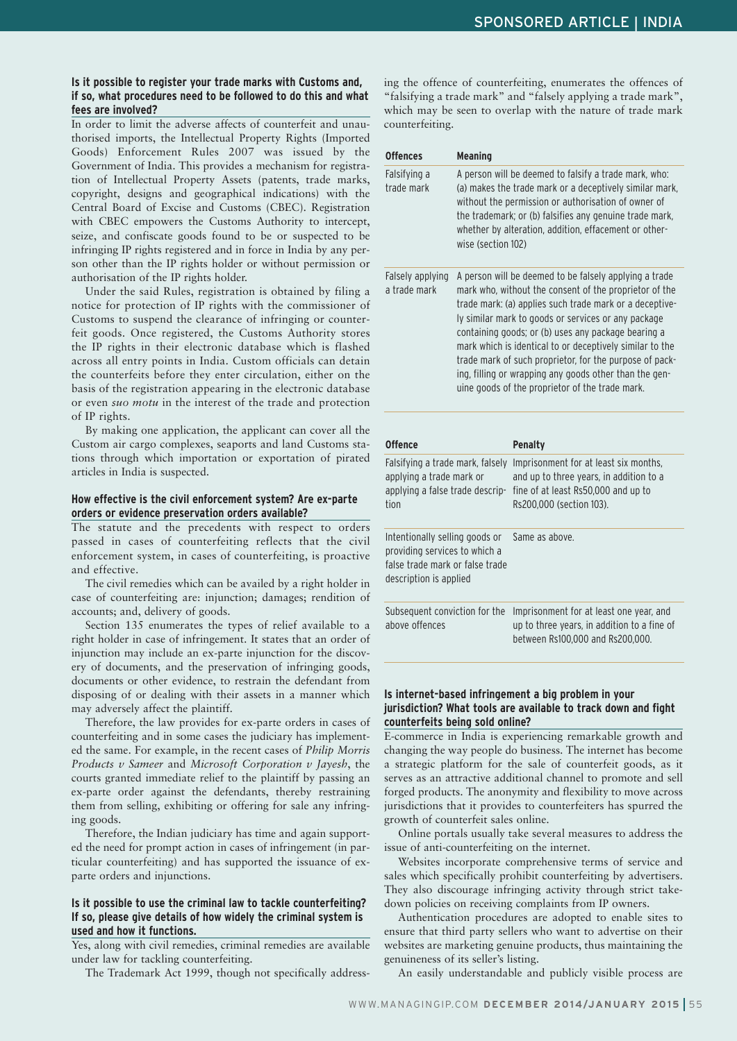#### **Is it possible to register your trade marks with Customs and, if so, what procedures need to be followed to do this and what fees are involved?**

In order to limit the adverse affects of counterfeit and unauthorised imports, the Intellectual Property Rights (Imported Goods) Enforcement Rules 2007 was issued by the Government of India. This provides a mechanism for registration of Intellectual Property Assets (patents, trade marks, copyright, designs and geographical indications) with the Central Board of Excise and Customs (CBEC). Registration with CBEC empowers the Customs Authority to intercept, seize, and confiscate goods found to be or suspected to be infringing IP rights registered and in force in India by any person other than the IP rights holder or without permission or authorisation of the IP rights holder.

Under the said Rules, registration is obtained by filing a notice for protection of IP rights with the commissioner of Customs to suspend the clearance of infringing or counterfeit goods. Once registered, the Customs Authority stores the IP rights in their electronic database which is flashed across all entry points in India. Custom officials can detain the counterfeits before they enter circulation, either on the basis of the registration appearing in the electronic database or even *suo motu* in the interest of the trade and protection of IP rights.

By making one application, the applicant can cover all the Custom air cargo complexes, seaports and land Customs stations through which importation or exportation of pirated articles in India is suspected.

#### **How effective is the civil enforcement system? Are ex-parte orders or evidence preservation orders available?**

The statute and the precedents with respect to orders passed in cases of counterfeiting reflects that the civil enforcement system, in cases of counterfeiting, is proactive and effective.

The civil remedies which can be availed by a right holder in case of counterfeiting are: injunction; damages; rendition of accounts; and, delivery of goods.

Section 135 enumerates the types of relief available to a right holder in case of infringement. It states that an order of injunction may include an ex-parte injunction for the discovery of documents, and the preservation of infringing goods, documents or other evidence, to restrain the defendant from disposing of or dealing with their assets in a manner which may adversely affect the plaintiff.

Therefore, the law provides for ex-parte orders in cases of counterfeiting and in some cases the judiciary has implemented the same. For example, in the recent cases of *Philip Morris Products v Sameer* and *Microsoft Corporation v Jayesh*, the courts granted immediate relief to the plaintiff by passing an ex-parte order against the defendants, thereby restraining them from selling, exhibiting or offering for sale any infringing goods.

Therefore, the Indian judiciary has time and again supported the need for prompt action in cases of infringement (in particular counterfeiting) and has supported the issuance of exparte orders and injunctions.

#### **Is it possible to use the criminal law to tackle counterfeiting? If so, please give details of how widely the criminal system is used and how it functions.**

Yes, along with civil remedies, criminal remedies are available under law for tackling counterfeiting.

The Trademark Act 1999, though not specifically address-

ing the offence of counterfeiting, enumerates the offences of "falsifying a trade mark" and "falsely applying a trade mark", which may be seen to overlap with the nature of trade mark counterfeiting.

| <b>Offences</b>                                                                                                              | <b>Meaning</b>                                                                                                                                                                                                                                                                                                                                                                                                                                                                                                                |                                                                                                                                                     |
|------------------------------------------------------------------------------------------------------------------------------|-------------------------------------------------------------------------------------------------------------------------------------------------------------------------------------------------------------------------------------------------------------------------------------------------------------------------------------------------------------------------------------------------------------------------------------------------------------------------------------------------------------------------------|-----------------------------------------------------------------------------------------------------------------------------------------------------|
| Falsifying a<br>trade mark                                                                                                   | A person will be deemed to falsify a trade mark, who:<br>(a) makes the trade mark or a deceptively similar mark,<br>without the permission or authorisation of owner of<br>the trademark; or (b) falsifies any genuine trade mark,<br>whether by alteration, addition, effacement or other-<br>wise (section 102)                                                                                                                                                                                                             |                                                                                                                                                     |
| Falsely applying<br>a trade mark                                                                                             | A person will be deemed to be falsely applying a trade<br>mark who, without the consent of the proprietor of the<br>trade mark: (a) applies such trade mark or a deceptive-<br>ly similar mark to goods or services or any package<br>containing goods; or (b) uses any package bearing a<br>mark which is identical to or deceptively similar to the<br>trade mark of such proprietor, for the purpose of pack-<br>ing, filling or wrapping any goods other than the gen-<br>uine goods of the proprietor of the trade mark. |                                                                                                                                                     |
| <b>Offence</b>                                                                                                               |                                                                                                                                                                                                                                                                                                                                                                                                                                                                                                                               | <b>Penalty</b>                                                                                                                                      |
| Falsifying a trade mark, falsely<br>applying a trade mark or<br>applying a false trade descrip-<br>tion                      |                                                                                                                                                                                                                                                                                                                                                                                                                                                                                                                               | Imprisonment for at least six months.<br>and up to three years, in addition to a<br>fine of at least Rs50,000 and up to<br>Rs200,000 (section 103). |
| Intentionally selling goods or<br>providing services to which a<br>false trade mark or false trade<br>description is applied |                                                                                                                                                                                                                                                                                                                                                                                                                                                                                                                               | Same as above.                                                                                                                                      |
| Subsequent conviction for the<br>above offences                                                                              |                                                                                                                                                                                                                                                                                                                                                                                                                                                                                                                               | Imprisonment for at least one year, and<br>up to three years, in addition to a fine of<br>between Rs100,000 and Rs200,000.                          |

#### **Is internet-based infringement a big problem in your jurisdiction? What tools are available to track down and fight counterfeits being sold online?**

E-commerce in India is experiencing remarkable growth and changing the way people do business. The internet has become a strategic platform for the sale of counterfeit goods, as it serves as an attractive additional channel to promote and sell forged products. The anonymity and flexibility to move across jurisdictions that it provides to counterfeiters has spurred the growth of counterfeit sales online.

Online portals usually take several measures to address the issue of anti-counterfeiting on the internet.

Websites incorporate comprehensive terms of service and sales which specifically prohibit counterfeiting by advertisers. They also discourage infringing activity through strict takedown policies on receiving complaints from IP owners.

Authentication procedures are adopted to enable sites to ensure that third party sellers who want to advertise on their websites are marketing genuine products, thus maintaining the genuineness of its seller's listing.

An easily understandable and publicly visible process are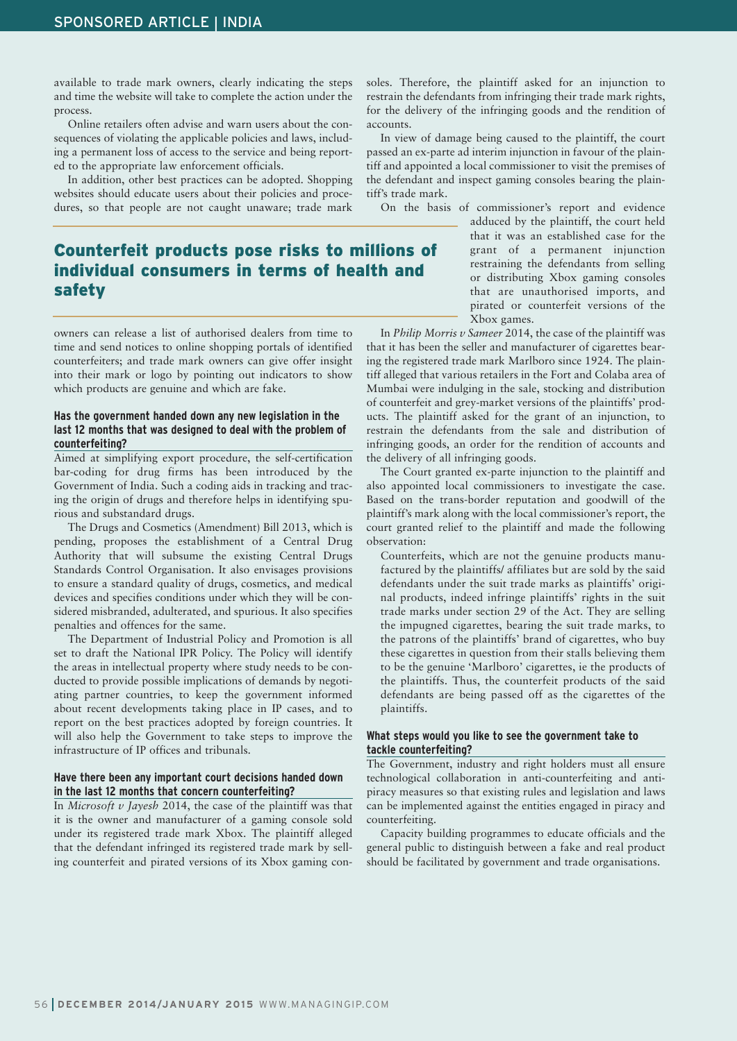available to trade mark owners, clearly indicating the steps and time the website will take to complete the action under the process.

Online retailers often advise and warn users about the consequences of violating the applicable policies and laws, including a permanent loss of access to the service and being reported to the appropriate law enforcement officials.

In addition, other best practices can be adopted. Shopping websites should educate users about their policies and procedures, so that people are not caught unaware; trade mark

### **Counterfeit products pose risks to millions of individual consumers in terms of health and safety**

owners can release a list of authorised dealers from time to time and send notices to online shopping portals of identified counterfeiters; and trade mark owners can give offer insight into their mark or logo by pointing out indicators to show which products are genuine and which are fake.

#### **Has the government handed down any new legislation in the last 12 months that was designed to deal with the problem of counterfeiting?**

Aimed at simplifying export procedure, the self-certification bar-coding for drug firms has been introduced by the Government of India. Such a coding aids in tracking and tracing the origin of drugs and therefore helps in identifying spurious and substandard drugs.

The Drugs and Cosmetics (Amendment) Bill 2013, which is pending, proposes the establishment of a Central Drug Authority that will subsume the existing Central Drugs Standards Control Organisation. It also envisages provisions to ensure a standard quality of drugs, cosmetics, and medical devices and specifies conditions under which they will be considered misbranded, adulterated, and spurious. It also specifies penalties and offences for the same.

The Department of Industrial Policy and Promotion is all set to draft the National IPR Policy. The Policy will identify the areas in intellectual property where study needs to be conducted to provide possible implications of demands by negotiating partner countries, to keep the government informed about recent developments taking place in IP cases, and to report on the best practices adopted by foreign countries. It will also help the Government to take steps to improve the infrastructure of IP offices and tribunals.

#### **Have there been any important court decisions handed down in the last 12 months that concern counterfeiting?**

In *Microsoft v Jayesh* 2014, the case of the plaintiff was that it is the owner and manufacturer of a gaming console sold under its registered trade mark Xbox. The plaintiff alleged that the defendant infringed its registered trade mark by selling counterfeit and pirated versions of its Xbox gaming consoles. Therefore, the plaintiff asked for an injunction to restrain the defendants from infringing their trade mark rights, for the delivery of the infringing goods and the rendition of accounts.

In view of damage being caused to the plaintiff, the court passed an ex-parte ad interim injunction in favour of the plaintiff and appointed a local commissioner to visit the premises of the defendant and inspect gaming consoles bearing the plaintiff's trade mark.

On the basis of commissioner's report and evidence

adduced by the plaintiff, the court held that it was an established case for the grant of a permanent injunction restraining the defendants from selling or distributing Xbox gaming consoles that are unauthorised imports, and pirated or counterfeit versions of the Xbox games.

In *Philip Morris v Sameer* 2014, the case of the plaintiff was that it has been the seller and manufacturer of cigarettes bearing the registered trade mark Marlboro since 1924. The plaintiff alleged that various retailers in the Fort and Colaba area of Mumbai were indulging in the sale, stocking and distribution of counterfeit and grey-market versions of the plaintiffs' products. The plaintiff asked for the grant of an injunction, to restrain the defendants from the sale and distribution of infringing goods, an order for the rendition of accounts and the delivery of all infringing goods.

The Court granted ex-parte injunction to the plaintiff and also appointed local commissioners to investigate the case. Based on the trans-border reputation and goodwill of the plaintiff's mark along with the local commissioner's report, the court granted relief to the plaintiff and made the following observation:

Counterfeits, which are not the genuine products manufactured by the plaintiffs/ affiliates but are sold by the said defendants under the suit trade marks as plaintiffs' original products, indeed infringe plaintiffs' rights in the suit trade marks under section 29 of the Act. They are selling the impugned cigarettes, bearing the suit trade marks, to the patrons of the plaintiffs' brand of cigarettes, who buy these cigarettes in question from their stalls believing them to be the genuine 'Marlboro' cigarettes, ie the products of the plaintiffs. Thus, the counterfeit products of the said defendants are being passed off as the cigarettes of the plaintiffs.

#### **What steps would you like to see the government take to tackle counterfeiting?**

The Government, industry and right holders must all ensure technological collaboration in anti-counterfeiting and antipiracy measures so that existing rules and legislation and laws can be implemented against the entities engaged in piracy and counterfeiting.

Capacity building programmes to educate officials and the general public to distinguish between a fake and real product should be facilitated by government and trade organisations.